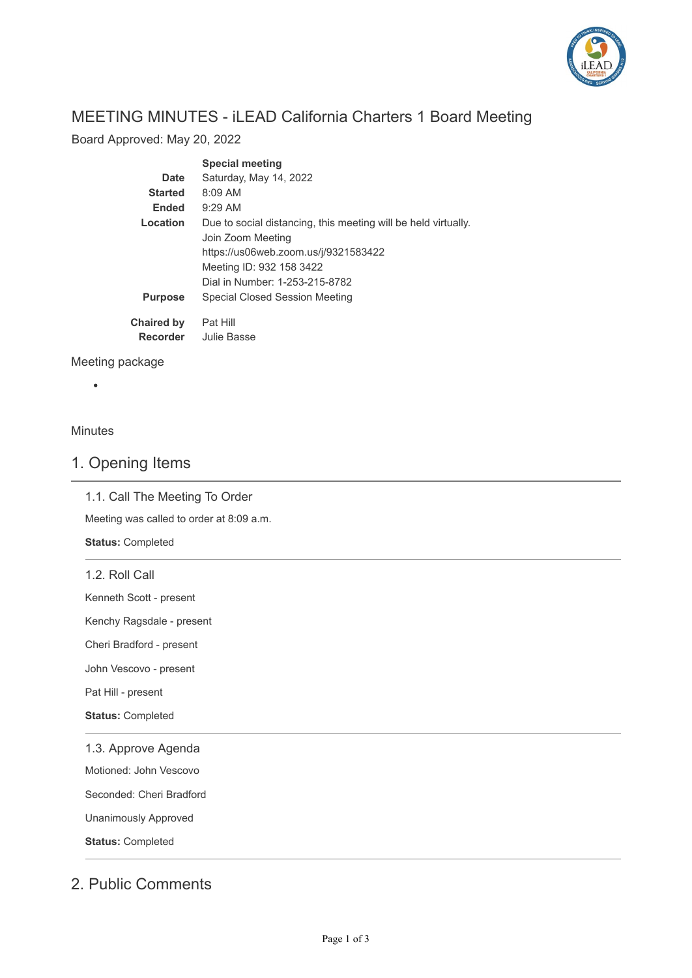

# MEETING MINUTES - iLEAD California Charters 1 Board Meeting

Board Approved: May 20, 2022

|                   | <b>Special meeting</b>                                         |
|-------------------|----------------------------------------------------------------|
| <b>Date</b>       | Saturday, May 14, 2022                                         |
| <b>Started</b>    | $8:09$ AM                                                      |
| <b>Ended</b>      | $9:29$ AM                                                      |
| Location          | Due to social distancing, this meeting will be held virtually. |
|                   | Join Zoom Meeting                                              |
|                   | https://us06web.zoom.us/j/9321583422                           |
|                   | Meeting ID: 932 158 3422                                       |
|                   | Dial in Number: 1-253-215-8782                                 |
| <b>Purpose</b>    | Special Closed Session Meeting                                 |
| <b>Chaired by</b> | Pat Hill                                                       |
| <b>Recorder</b>   | Julie Basse                                                    |

### Meeting package

#### Minutes

### 1. Opening Items

1.1. Call The Meeting To Order

Meeting was called to order at 8:09 a.m.

**Status:** Completed

1.2. Roll Call

Kenneth Scott - present

Kenchy Ragsdale - present

Cheri Bradford - present

John Vescovo - present

Pat Hill - present

**Status:** Completed

1.3. Approve Agenda

Motioned: John Vescovo

Seconded: Cheri Bradford

Unanimously Approved

**Status:** Completed

## 2. Public Comments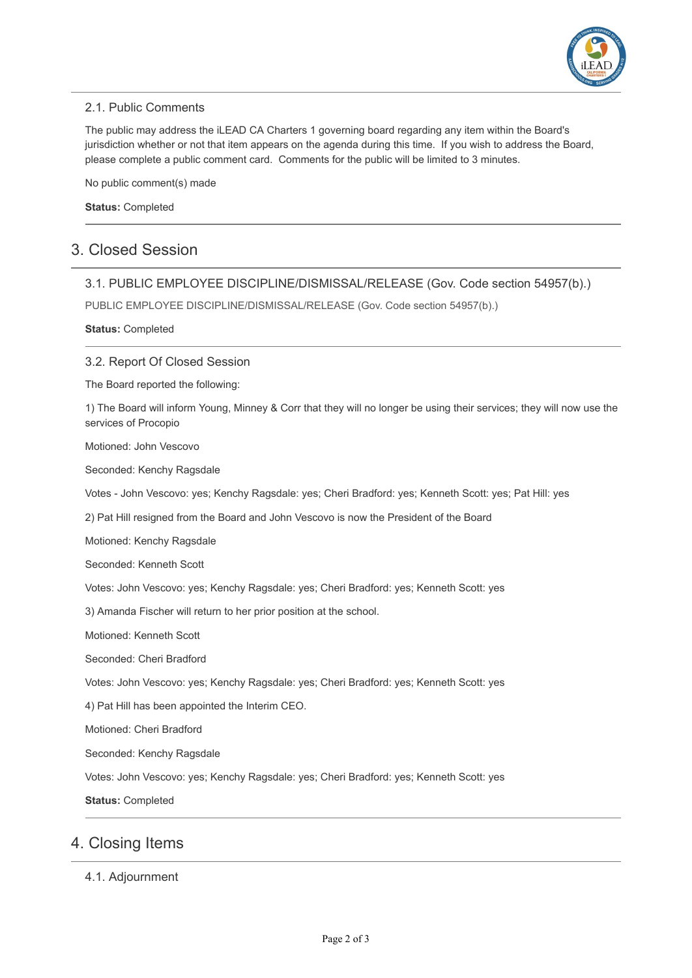

### 2.1. Public Comments

The public may address the iLEAD CA Charters 1 governing board regarding any item within the Board's jurisdiction whether or not that item appears on the agenda during this time. If you wish to address the Board, please complete a public comment card. Comments for the public will be limited to 3 minutes.

No public comment(s) made

**Status:** Completed

## 3. Closed Session

### 3.1. PUBLIC EMPLOYEE DISCIPLINE/DISMISSAL/RELEASE (Gov. Code section 54957(b).)

PUBLIC EMPLOYEE DISCIPLINE/DISMISSAL/RELEASE (Gov. Code section 54957(b).)

**Status:** Completed

#### 3.2. Report Of Closed Session

The Board reported the following:

1) The Board will inform Young, Minney & Corr that they will no longer be using their services; they will now use the services of Procopio

Motioned: John Vescovo

Seconded: Kenchy Ragsdale

Votes - John Vescovo: yes; Kenchy Ragsdale: yes; Cheri Bradford: yes; Kenneth Scott: yes; Pat Hill: yes

2) Pat Hill resigned from the Board and John Vescovo is now the President of the Board

Motioned: Kenchy Ragsdale

Seconded: Kenneth Scott

Votes: John Vescovo: yes; Kenchy Ragsdale: yes; Cheri Bradford: yes; Kenneth Scott: yes

3) Amanda Fischer will return to her prior position at the school.

Motioned: Kenneth Scott

Seconded: Cheri Bradford

Votes: John Vescovo: yes; Kenchy Ragsdale: yes; Cheri Bradford: yes; Kenneth Scott: yes

4) Pat Hill has been appointed the Interim CEO.

Motioned: Cheri Bradford

Seconded: Kenchy Ragsdale

Votes: John Vescovo: yes; Kenchy Ragsdale: yes; Cheri Bradford: yes; Kenneth Scott: yes

**Status:** Completed

### 4. Closing Items

### 4.1. Adjournment